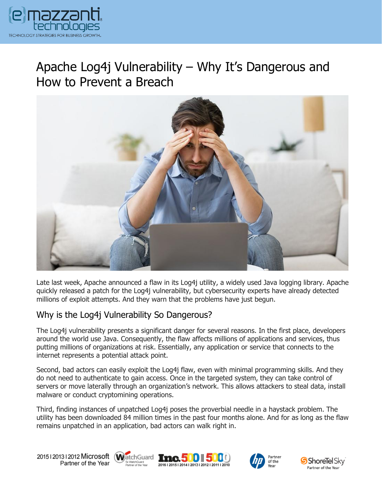

# Apache Log4j Vulnerability – Why It's Dangerous and How to Prevent a Breach



Late last week, Apache announced a flaw in its Log4j utility, a widely used Java logging library. Apache quickly released a patch for the Log4j vulnerability, but cybersecurity experts have already detected millions of exploit attempts. And they warn that the problems have just begun.

### Why is the Log4j Vulnerability So Dangerous?

The Log4j vulnerability presents a significant danger for several reasons. In the first place, developers around the world use Java. Consequently, the flaw affects millions of applications and services, thus putting millions of organizations at risk. Essentially, any application or service that connects to the internet represents a potential attack point.

Second, bad actors can easily exploit the Log4j flaw, even with minimal programming skills. And they do not need to authenticate to gain access. Once in the targeted system, they can take control of servers or move laterally through an organization's network. This allows attackers to steal data, install malware or conduct cryptomining operations.

Third, finding instances of unpatched Log4j poses the proverbial needle in a haystack problem. The utility has been downloaded 84 million times in the past four months alone. And for as long as the flaw remains unpatched in an application, bad actors can walk right in.

20151201312012 Microsoft WatchGuard Tnc. 500 500 Partner of the Year







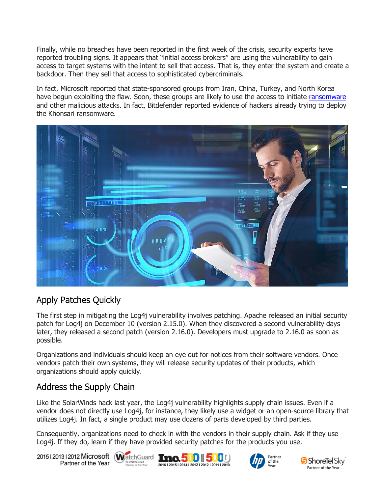Finally, while no breaches have been reported in the first week of the crisis, security experts have reported troubling signs. It appears that "initial access brokers" are using the vulnerability to gain access to target systems with the intent to sell that access. That is, they enter the system and create a backdoor. Then they sell that access to sophisticated cybercriminals.

In fact, Microsoft reported that state-sponsored groups from Iran, China, Turkey, and North Korea have begun exploiting the flaw. Soon, these groups are likely to use the access to initiate [ransomware](https://www.emazzanti.net/kaseya-ransomware-attack/) and other malicious attacks. In fact, Bitdefender reported evidence of hackers already trying to deploy the Khonsari ransomware.



## Apply Patches Quickly

The first step in mitigating the Log4j vulnerability involves patching. Apache released an initial security patch for Log4j on December 10 (version 2.15.0). When they discovered a second vulnerability days later, they released a second patch (version 2.16.0). Developers must upgrade to 2.16.0 as soon as possible.

Organizations and individuals should keep an eye out for notices from their software vendors. Once vendors patch their own systems, they will release security updates of their products, which organizations should apply quickly.

### Address the Supply Chain

Like the SolarWinds hack last year, the Log4j vulnerability highlights supply chain issues. Even if a vendor does not directly use Log4j, for instance, they likely use a widget or an open-source library that utilizes Log4j. In fact, a single product may use dozens of parts developed by third parties.

Consequently, organizations need to check in with the vendors in their supply chain. Ask if they use Log4j. If they do, learn if they have provided security patches for the products you use.

20151201312012 Microsoft WatchGuard **Inc.500 500** Partner of the Year

Sx WatchGuard<br>Partner of the Year